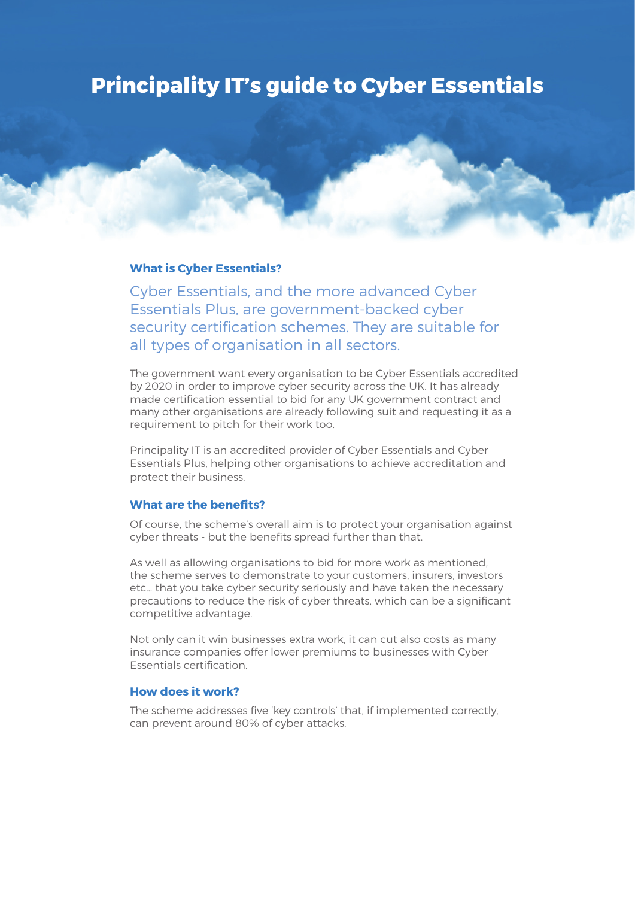# **Principality IT's guide to Cyber Essentials**

## **What is Cyber Essentials?**

Cyber Essentials, and the more advanced Cyber Essentials Plus, are government-backed cyber security certification schemes. They are suitable for all types of organisation in all sectors.

The government want every organisation to be Cyber Essentials accredited by 2020 in order to improve cyber security across the UK. It has already made certification essential to bid for any UK government contract and many other organisations are already following suit and requesting it as a requirement to pitch for their work too.

Principality IT is an accredited provider of Cyber Essentials and Cyber Essentials Plus, helping other organisations to achieve accreditation and protect their business.

# **What are the benefits?**

Of course, the scheme's overall aim is to protect your organisation against cyber threats - but the benefits spread further than that.

As well as allowing organisations to bid for more work as mentioned, the scheme serves to demonstrate to your customers, insurers, investors etc… that you take cyber security seriously and have taken the necessary precautions to reduce the risk of cyber threats, which can be a significant competitive advantage.

Not only can it win businesses extra work, it can cut also costs as many insurance companies offer lower premiums to businesses with Cyber Essentials certification.

## **How does it work?**

The scheme addresses five 'key controls' that, if implemented correctly, can prevent around 80% of cyber attacks.